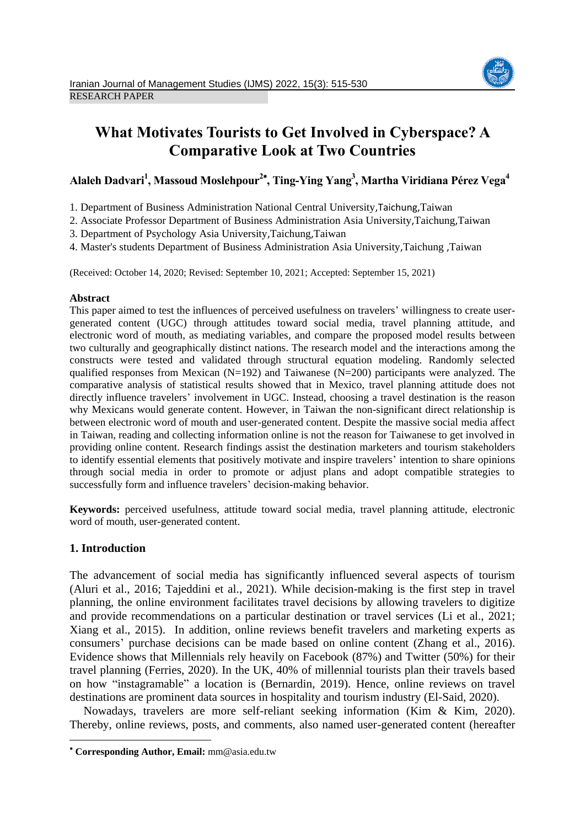

# **What Motivates Tourists to Get Involved in Cyberspace? A Comparative Look at Two Countries**

# **Alaleh Dadvari<sup>1</sup> , Massoud Moslehpour<sup>2</sup> , Ting-Ying Yang<sup>3</sup> , Martha Viridiana Pérez Vega<sup>4</sup>**

1. Department of Business Administration National Central University,Taichung,Taiwan

2. Associate Professor Department of Business Administration Asia University,Taichung,Taiwan

3. Department of Psychology Asia University,Taichung,Taiwan

4. Master's students Department of Business Administration Asia University,Taichung ,Taiwan

(Received: October 14, 2020; Revised: September 10, 2021; Accepted: September 15, 2021)

#### **Abstract**

This paper aimed to test the influences of perceived usefulness on travelers' willingness to create usergenerated content (UGC) through attitudes toward social media, travel planning attitude, and electronic word of mouth, as mediating variables, and compare the proposed model results between two culturally and geographically distinct nations. The research model and the interactions among the constructs were tested and validated through structural equation modeling. Randomly selected qualified responses from Mexican  $(N=192)$  and Taiwanese  $(N=200)$  participants were analyzed. The comparative analysis of statistical results showed that in Mexico, travel planning attitude does not directly influence travelers' involvement in UGC. Instead, choosing a travel destination is the reason why Mexicans would generate content. However, in Taiwan the non-significant direct relationship is between electronic word of mouth and user-generated content. Despite the massive social media affect in Taiwan, reading and collecting information online is not the reason for Taiwanese to get involved in providing online content. Research findings assist the destination marketers and tourism stakeholders to identify essential elements that positively motivate and inspire travelers' intention to share opinions through social media in order to promote or adjust plans and adopt compatible strategies to successfully form and influence travelers' decision-making behavior.

**Keywords:** perceived usefulness, attitude toward social media, travel planning attitude, electronic word of mouth, user-generated content.

# **1. Introduction**

**.** 

The advancement of social media has significantly influenced several aspects of tourism (Aluri et al., 2016; Tajeddini et al., 2021). While decision-making is the first step in travel planning, the online environment facilitates travel decisions by allowing travelers to digitize and provide recommendations on a particular destination or travel services (Li et al., 2021; Xiang et al., 2015). In addition, online reviews benefit travelers and marketing experts as consumers' purchase decisions can be made based on online content (Zhang et al., 2016). Evidence shows that Millennials rely heavily on Facebook (87%) and Twitter (50%) for their travel planning (Ferries, 2020). In the UK, 40% of millennial tourists plan their travels based on how "instagramable" a location is (Bernardin, 2019). Hence, online reviews on travel destinations are prominent data sources in hospitality and tourism industry (El-Said, 2020).

Nowadays, travelers are more self-reliant seeking information (Kim & Kim, 2020). Thereby, online reviews, posts, and comments, also named user-generated content (hereafter

**Corresponding Author, Email:** mm@asia.edu.tw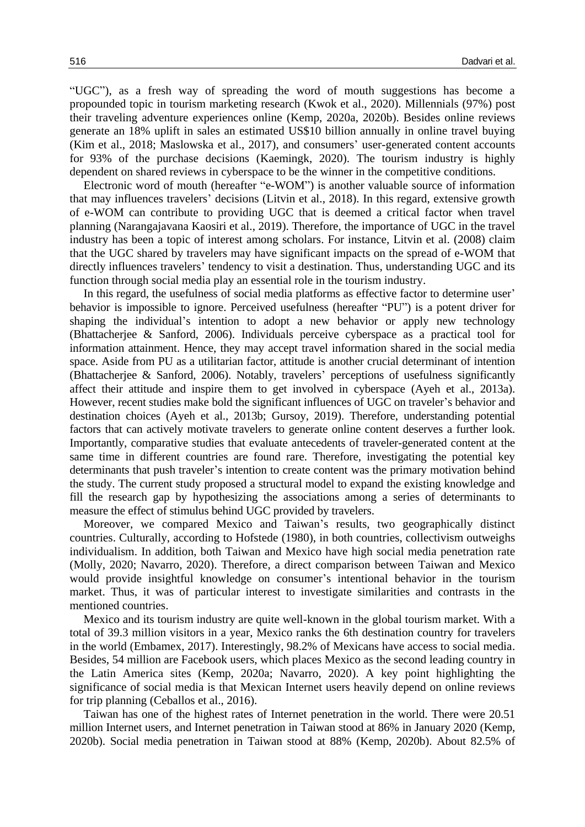"UGC"), as a fresh way of spreading the word of mouth suggestions has become a propounded topic in tourism marketing research (Kwok et al., 2020). Millennials (97%) post their traveling adventure experiences online (Kemp, 2020a, 2020b). Besides online reviews generate an 18% uplift in sales an estimated US\$10 billion annually in online travel buying (Kim et al., 2018; Maslowska et al., 2017), and consumers' user-generated content accounts for 93% of the purchase decisions (Kaemingk, 2020). The tourism industry is highly dependent on shared reviews in cyberspace to be the winner in the competitive conditions.

Electronic word of mouth (hereafter "e-WOM") is another valuable source of information that may influences travelers' decisions (Litvin et al., 2018). In this regard, extensive growth of e-WOM can contribute to providing UGC that is deemed a critical factor when travel planning (Narangajavana Kaosiri et al., 2019). Therefore, the importance of UGC in the travel industry has been a topic of interest among scholars. For instance, Litvin et al. (2008) claim that the UGC shared by travelers may have significant impacts on the spread of e-WOM that directly influences travelers' tendency to visit a destination. Thus, understanding UGC and its function through social media play an essential role in the tourism industry.

In this regard, the usefulness of social media platforms as effective factor to determine user' behavior is impossible to ignore. Perceived usefulness (hereafter "PU") is a potent driver for shaping the individual's intention to adopt a new behavior or apply new technology (Bhattacherjee & Sanford, 2006). Individuals perceive cyberspace as a practical tool for information attainment. Hence, they may accept travel information shared in the social media space. Aside from PU as a utilitarian factor, attitude is another crucial determinant of intention (Bhattacherjee & Sanford, 2006). Notably, travelers' perceptions of usefulness significantly affect their attitude and inspire them to get involved in cyberspace (Ayeh et al., 2013a). However, recent studies make bold the significant influences of UGC on traveler's behavior and destination choices (Ayeh et al., 2013b; Gursoy, 2019). Therefore, understanding potential factors that can actively motivate travelers to generate online content deserves a further look. Importantly, comparative studies that evaluate antecedents of traveler-generated content at the same time in different countries are found rare. Therefore, investigating the potential key determinants that push traveler's intention to create content was the primary motivation behind the study. The current study proposed a structural model to expand the existing knowledge and fill the research gap by hypothesizing the associations among a series of determinants to measure the effect of stimulus behind UGC provided by travelers.

Moreover, we compared Mexico and Taiwan's results, two geographically distinct countries. Culturally, according to Hofstede (1980), in both countries, collectivism outweighs individualism. In addition, both Taiwan and Mexico have high social media penetration rate (Molly, 2020; Navarro, 2020). Therefore, a direct comparison between Taiwan and Mexico would provide insightful knowledge on consumer's intentional behavior in the tourism market. Thus, it was of particular interest to investigate similarities and contrasts in the mentioned countries.

Mexico and its tourism industry are quite well-known in the global tourism market. With a total of 39.3 million visitors in a year, Mexico ranks the 6th destination country for travelers in the world (Embamex, 2017). Interestingly, 98.2% of Mexicans have access to social media. Besides, 54 million are Facebook users, which places Mexico as the second leading country in the Latin America sites (Kemp, 2020a; Navarro, 2020). A key point highlighting the significance of social media is that Mexican Internet users heavily depend on online reviews for trip planning (Ceballos et al., 2016).

Taiwan has one of the highest rates of Internet penetration in the world. There were 20.51 million Internet users, and Internet penetration in Taiwan stood at 86% in January 2020 (Kemp, 2020b). Social media penetration in Taiwan stood at 88% (Kemp, 2020b). About 82.5% of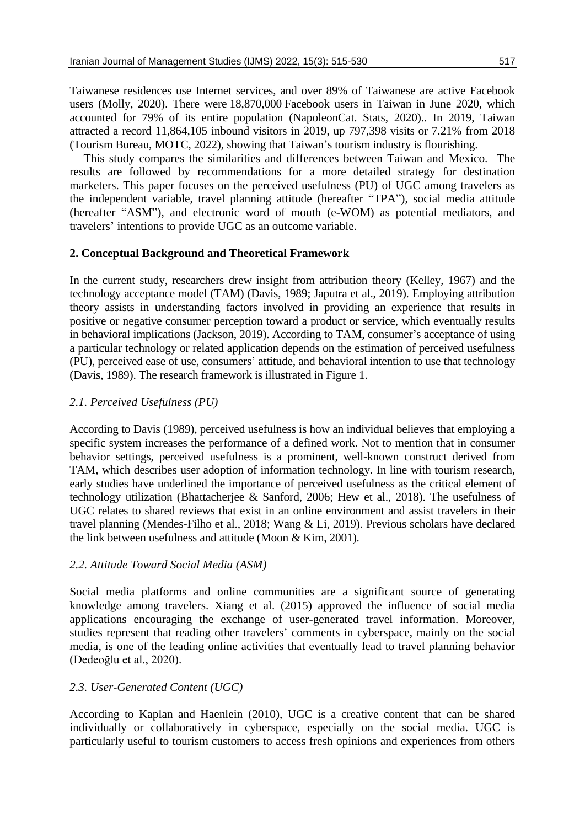Taiwanese residences use Internet services, and over 89% of Taiwanese are active Facebook users (Molly, 2020). There were 18,870,000 Facebook users in Taiwan in June 2020, which accounted for 79% of its entire population (NapoleonCat. Stats, 2020).. In 2019, Taiwan attracted a record 11,864,105 inbound visitors in 2019, up 797,398 visits or 7.21% from 2018 (Tourism Bureau, MOTC, 2022), showing that Taiwan's tourism industry is flourishing.

This study compares the similarities and differences between Taiwan and Mexico. The results are followed by recommendations for a more detailed strategy for destination marketers. This paper focuses on the perceived usefulness (PU) of UGC among travelers as the independent variable, travel planning attitude (hereafter "TPA"), social media attitude (hereafter "ASM"), and electronic word of mouth (e-WOM) as potential mediators, and travelers' intentions to provide UGC as an outcome variable.

## **2. Conceptual Background and Theoretical Framework**

In the current study, researchers drew insight from attribution theory (Kelley, 1967) and the technology acceptance model (TAM) (Davis, 1989; Japutra et al., 2019). Employing attribution theory assists in understanding factors involved in providing an experience that results in positive or negative consumer perception toward a product or service, which eventually results in behavioral implications (Jackson, 2019). According to TAM, consumer's acceptance of using a particular technology or related application depends on the estimation of perceived usefulness (PU), perceived ease of use, consumers' attitude, and behavioral intention to use that technology (Davis, 1989). The research framework is illustrated in Figure 1.

## *2.1. Perceived Usefulness (PU)*

According to Davis (1989), perceived usefulness is how an individual believes that employing a specific system increases the performance of a defined work. Not to mention that in consumer behavior settings, perceived usefulness is a prominent, well-known construct derived from TAM, which describes user adoption of information technology. In line with tourism research, early studies have underlined the importance of perceived usefulness as the critical element of technology utilization (Bhattacherjee & Sanford, 2006; Hew et al., 2018). The usefulness of UGC relates to shared reviews that exist in an online environment and assist travelers in their travel planning (Mendes-Filho et al., 2018; Wang & Li, 2019). Previous scholars have declared the link between usefulness and attitude (Moon & Kim, 2001).

# *2.2. Attitude Toward Social Media (ASM)*

Social media platforms and online communities are a significant source of generating knowledge among travelers. Xiang et al. (2015) approved the influence of social media applications encouraging the exchange of user-generated travel information. Moreover, studies represent that reading other travelers' comments in cyberspace, mainly on the social media, is one of the leading online activities that eventually lead to travel planning behavior (Dedeoğlu et al., 2020).

## *2.3. User-Generated Content (UGC)*

According to Kaplan and Haenlein (2010), UGC is a creative content that can be shared individually or collaboratively in cyberspace, especially on the social media. UGC is particularly useful to tourism customers to access fresh opinions and experiences from others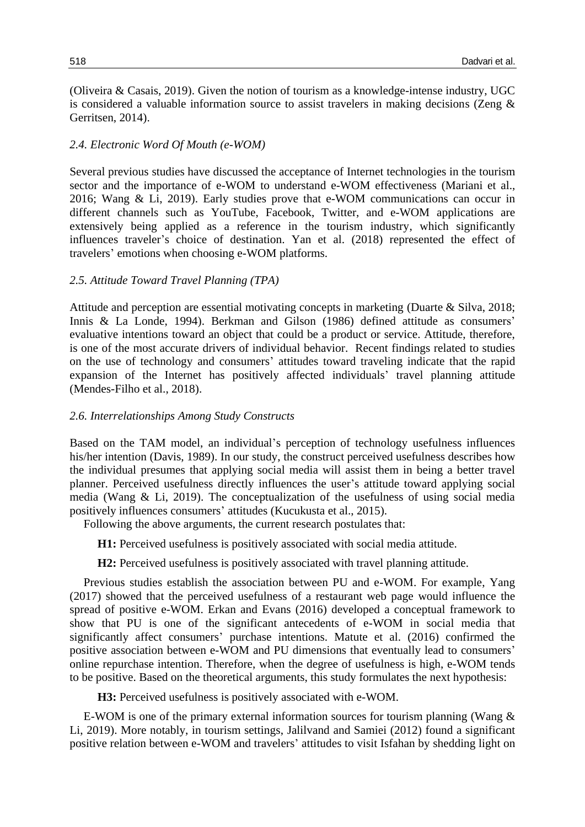(Oliveira & Casais, 2019). Given the notion of tourism as a knowledge-intense industry, UGC is considered a valuable information source to assist travelers in making decisions (Zeng & Gerritsen, 2014).

#### *2.4. Electronic Word Of Mouth (e-WOM)*

Several previous studies have discussed the acceptance of Internet technologies in the tourism sector and the importance of e-WOM to understand e-WOM effectiveness (Mariani et al., 2016; Wang & Li, 2019). Early studies prove that e-WOM communications can occur in different channels such as YouTube, Facebook, Twitter, and e-WOM applications are extensively being applied as a reference in the tourism industry, which significantly influences traveler's choice of destination. Yan et al. (2018) represented the effect of travelers' emotions when choosing e-WOM platforms.

#### *2.5. Attitude Toward Travel Planning (TPA)*

Attitude and perception are essential motivating concepts in marketing (Duarte & Silva, 2018; Innis & La Londe, 1994). Berkman and Gilson (1986) defined attitude as consumers' evaluative intentions toward an object that could be a product or service. Attitude, therefore, is one of the most accurate drivers of individual behavior. Recent findings related to studies on the use of technology and consumers' attitudes toward traveling indicate that the rapid expansion of the Internet has positively affected individuals' travel planning attitude (Mendes-Filho et al., 2018).

#### *2.6. Interrelationships Among Study Constructs*

Based on the TAM model, an individual's perception of technology usefulness influences his/her intention (Davis, 1989). In our study, the construct perceived usefulness describes how the individual presumes that applying social media will assist them in being a better travel planner. Perceived usefulness directly influences the user's attitude toward applying social media (Wang & Li, 2019). The conceptualization of the usefulness of using social media positively influences consumers' attitudes (Kucukusta et al., 2015).

Following the above arguments, the current research postulates that:

**H1:** Perceived usefulness is positively associated with social media attitude.

**H2:** Perceived usefulness is positively associated with travel planning attitude.

Previous studies establish the association between PU and e-WOM. For example, Yang (2017) showed that the perceived usefulness of a restaurant web page would influence the spread of positive e-WOM. Erkan and Evans (2016) developed a conceptual framework to show that PU is one of the significant antecedents of e-WOM in social media that significantly affect consumers' purchase intentions. Matute et al. (2016) confirmed the positive association between e-WOM and PU dimensions that eventually lead to consumers' online repurchase intention. Therefore, when the degree of usefulness is high, e-WOM tends to be positive. Based on the theoretical arguments, this study formulates the next hypothesis:

**H3:** Perceived usefulness is positively associated with e-WOM.

E-WOM is one of the primary external information sources for tourism planning (Wang & Li, 2019). More notably, in tourism settings, Jalilvand and Samiei (2012) found a significant positive relation between e-WOM and travelers' attitudes to visit Isfahan by shedding light on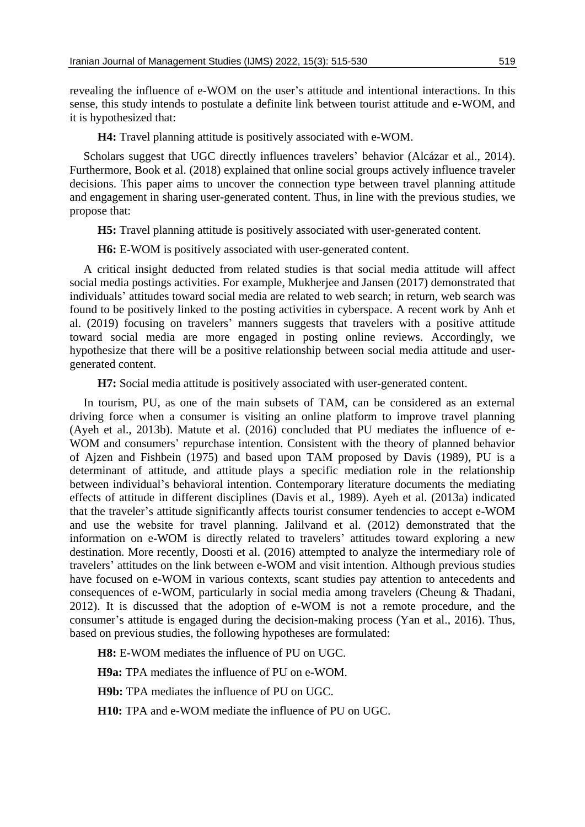revealing the influence of e-WOM on the user's attitude and intentional interactions. In this sense, this study intends to postulate a definite link between tourist attitude and e-WOM, and it is hypothesized that:

**H4:** Travel planning attitude is positively associated with e-WOM.

Scholars suggest that UGC directly influences travelers' behavior (Alcázar et al., 2014). Furthermore, Book et al. (2018) explained that online social groups actively influence traveler decisions. This paper aims to uncover the connection type between travel planning attitude and engagement in sharing user-generated content. Thus, in line with the previous studies, we propose that:

**H5:** Travel planning attitude is positively associated with user-generated content.

**H6:** E-WOM is positively associated with user-generated content.

A critical insight deducted from related studies is that social media attitude will affect social media postings activities. For example, Mukherjee and Jansen (2017) demonstrated that individuals' attitudes toward social media are related to web search; in return, web search was found to be positively linked to the posting activities in cyberspace. A recent work by Anh et al. (2019) focusing on travelers' manners suggests that travelers with a positive attitude toward social media are more engaged in posting online reviews. Accordingly, we hypothesize that there will be a positive relationship between social media attitude and usergenerated content.

**H7:** Social media attitude is positively associated with user-generated content.

In tourism, PU, as one of the main subsets of TAM, can be considered as an external driving force when a consumer is visiting an online platform to improve travel planning (Ayeh et al., 2013b). Matute et al. (2016) concluded that PU mediates the influence of e-WOM and consumers' repurchase intention. Consistent with the theory of planned behavior of Ajzen and Fishbein (1975) and based upon TAM proposed by Davis (1989), PU is a determinant of attitude, and attitude plays a specific mediation role in the relationship between individual's behavioral intention. Contemporary literature documents the mediating effects of attitude in different disciplines (Davis et al., 1989). Ayeh et al. (2013a) indicated that the traveler's attitude significantly affects tourist consumer tendencies to accept e-WOM and use the website for travel planning. Jalilvand et al. (2012) demonstrated that the information on e-WOM is directly related to travelers' attitudes toward exploring a new destination. More recently, Doosti et al. (2016) attempted to analyze the intermediary role of travelers' attitudes on the link between e-WOM and visit intention. Although previous studies have focused on e-WOM in various contexts, scant studies pay attention to antecedents and consequences of e-WOM, particularly in social media among travelers (Cheung & Thadani, 2012). It is discussed that the adoption of e-WOM is not a remote procedure, and the consumer's attitude is engaged during the decision-making process (Yan et al., 2016). Thus, based on previous studies, the following hypotheses are formulated:

**H8:** E-WOM mediates the influence of PU on UGC.

**H9a:** TPA mediates the influence of PU on e-WOM.

**H9b:** TPA mediates the influence of PU on UGC.

**H10:** TPA and e-WOM mediate the influence of PU on UGC.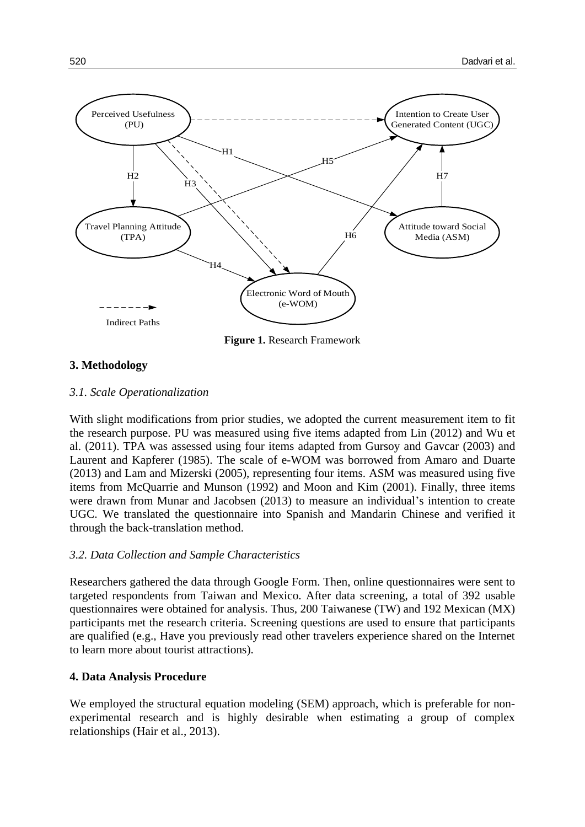

**Figure 1.** Research Framework

## **3. Methodology**

#### *3.1. Scale Operationalization*

With slight modifications from prior studies, we adopted the current measurement item to fit the research purpose. PU was measured using five items adapted from Lin (2012) and Wu et al. (2011). TPA was assessed using four items adapted from Gursoy and Gavcar (2003) and Laurent and Kapferer (1985). The scale of e-WOM was borrowed from Amaro and Duarte (2013) and Lam and Mizerski (2005), representing four items. ASM was measured using five items from McQuarrie and Munson (1992) and Moon and Kim (2001). Finally, three items were drawn from Munar and Jacobsen (2013) to measure an individual's intention to create UGC. We translated the questionnaire into Spanish and Mandarin Chinese and verified it through the back-translation method.

## *3.2. Data Collection and Sample Characteristics*

Researchers gathered the data through Google Form. Then, online questionnaires were sent to targeted respondents from Taiwan and Mexico. After data screening, a total of 392 usable questionnaires were obtained for analysis. Thus, 200 Taiwanese (TW) and 192 Mexican (MX) participants met the research criteria. Screening questions are used to ensure that participants are qualified (e.g., Have you previously read other travelers experience shared on the Internet to learn more about tourist attractions).

## **4. Data Analysis Procedure**

We employed the structural equation modeling (SEM) approach, which is preferable for nonexperimental research and is highly desirable when estimating a group of complex relationships (Hair et al., 2013).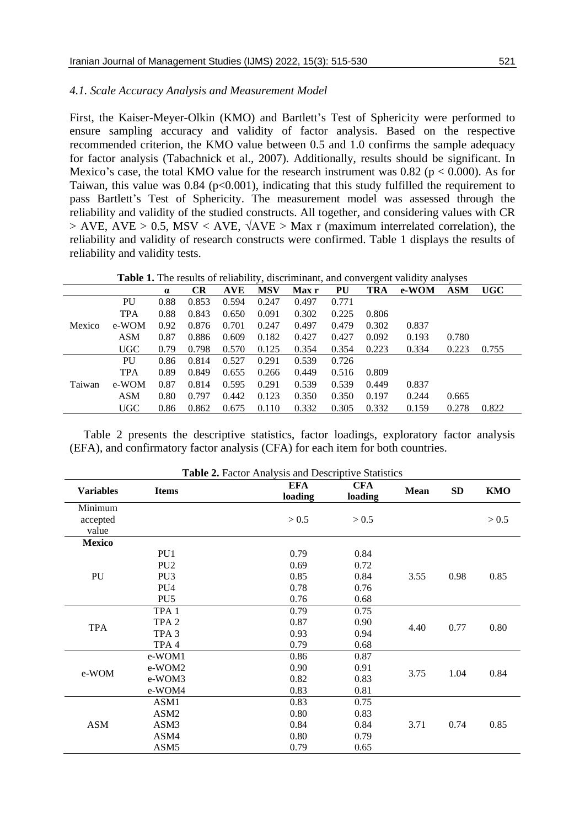#### *4.1. Scale Accuracy Analysis and Measurement Model*

First, the Kaiser-Meyer-Olkin (KMO) and Bartlett's Test of Sphericity were performed to ensure sampling accuracy and validity of factor analysis. Based on the respective recommended criterion, the KMO value between 0.5 and 1.0 confirms the sample adequacy for factor analysis (Tabachnick et al., 2007). Additionally, results should be significant. In Mexico's case, the total KMO value for the research instrument was  $0.82$  ( $p < 0.000$ ). As for Taiwan, this value was  $0.84$  (p<0.001), indicating that this study fulfilled the requirement to pass Bartlett's Test of Sphericity. The measurement model was assessed through the reliability and validity of the studied constructs. All together, and considering values with CR  $>$  AVE, AVE  $>$  0.5, MSV < AVE,  $\sqrt{AVE} >$  Max r (maximum interrelated correlation), the reliability and validity of research constructs were confirmed. Table 1 displays the results of reliability and validity tests.

**Table 1.** The results of reliability, discriminant, and convergent validity analyses

|        |            | $\alpha$ | <b>CR</b> | <b>AVE</b> | <b>MSV</b> | <b>Max</b> r | PU    | <b>TRA</b> | e-WOM | <b>ASM</b> | <b>UGC</b> |
|--------|------------|----------|-----------|------------|------------|--------------|-------|------------|-------|------------|------------|
|        | PU         | 0.88     | 0.853     | 0.594      | 0.247      | 0.497        | 0.771 |            |       |            |            |
|        | <b>TPA</b> | 0.88     | 0.843     | 0.650      | 0.091      | 0.302        | 0.225 | 0.806      |       |            |            |
| Mexico | e-WOM      | 0.92     | 0.876     | 0.701      | 0.247      | 0.497        | 0.479 | 0.302      | 0.837 |            |            |
|        | <b>ASM</b> | 0.87     | 0.886     | 0.609      | 0.182      | 0.427        | 0.427 | 0.092      | 0.193 | 0.780      |            |
|        | <b>UGC</b> | 0.79     | 0.798     | 0.570      | 0.125      | 0.354        | 0.354 | 0.223      | 0.334 | 0.223      | 0.755      |
|        | PU         | 0.86     | 0.814     | 0.527      | 0.291      | 0.539        | 0.726 |            |       |            |            |
| Taiwan | <b>TPA</b> | 0.89     | 0.849     | 0.655      | 0.266      | 0.449        | 0.516 | 0.809      |       |            |            |
|        | e-WOM      | 0.87     | 0.814     | 0.595      | 0.291      | 0.539        | 0.539 | 0.449      | 0.837 |            |            |
|        | <b>ASM</b> | 0.80     | 0.797     | 0.442      | 0.123      | 0.350        | 0.350 | 0.197      | 0.244 | 0.665      |            |
|        | <b>UGC</b> | 0.86     | 0.862     | 0.675      | 0.110      | 0.332        | 0.305 | 0.332      | 0.159 | 0.278      | 0.822      |

Table 2 presents the descriptive statistics, factor loadings, exploratory factor analysis (EFA), and confirmatory factor analysis (CFA) for each item for both countries.

|                  |                  | <b>EFA</b> | <b>CFA</b> |             |           |            |
|------------------|------------------|------------|------------|-------------|-----------|------------|
| <b>Variables</b> | <b>Items</b>     | loading    | loading    | <b>Mean</b> | <b>SD</b> | <b>KMO</b> |
| Minimum          |                  |            |            |             |           |            |
| accepted         |                  | > 0.5      | > 0.5      |             |           | > 0.5      |
| value            |                  |            |            |             |           |            |
| <b>Mexico</b>    |                  |            |            |             |           |            |
|                  | PU1              | 0.79       | 0.84       |             |           |            |
|                  | PU <sub>2</sub>  | 0.69       | 0.72       |             | 0.98      | 0.85       |
| PU               | PU <sub>3</sub>  | 0.85       | 0.84       | 3.55        |           |            |
|                  | PU <sub>4</sub>  | 0.78       | 0.76       |             |           |            |
|                  | PU <sub>5</sub>  | 0.76       | 0.68       |             |           |            |
|                  | TPA <sub>1</sub> | 0.79       | 0.75       |             | 0.77      | 0.80       |
|                  | TPA <sub>2</sub> | 0.87       | 0.90       |             |           |            |
| <b>TPA</b>       | TPA <sub>3</sub> | 0.93       | 0.94       | 4.40        |           |            |
|                  | TPA <sub>4</sub> | 0.79       | 0.68       |             |           |            |
|                  | e-WOM1           | 0.86       | 0.87       |             | 1.04      | 0.84       |
|                  | e-WOM2           | 0.90       | 0.91       | 3.75        |           |            |
| e-WOM            | e-WOM3           | 0.82       | 0.83       |             |           |            |
|                  | e-WOM4           | 0.83       | 0.81       |             |           |            |
|                  | ASM1             | 0.83       | 0.75       |             |           |            |
|                  | ASM2             | 0.80       | 0.83       |             | 0.74      | 0.85       |
| <b>ASM</b>       | ASM3             | 0.84       | 0.84       | 3.71        |           |            |
|                  | ASM4             | 0.80       | 0.79       |             |           |            |
|                  | ASM <sub>5</sub> | 0.79       | 0.65       |             |           |            |

**Table 2.** Factor Analysis and Descriptive Statistics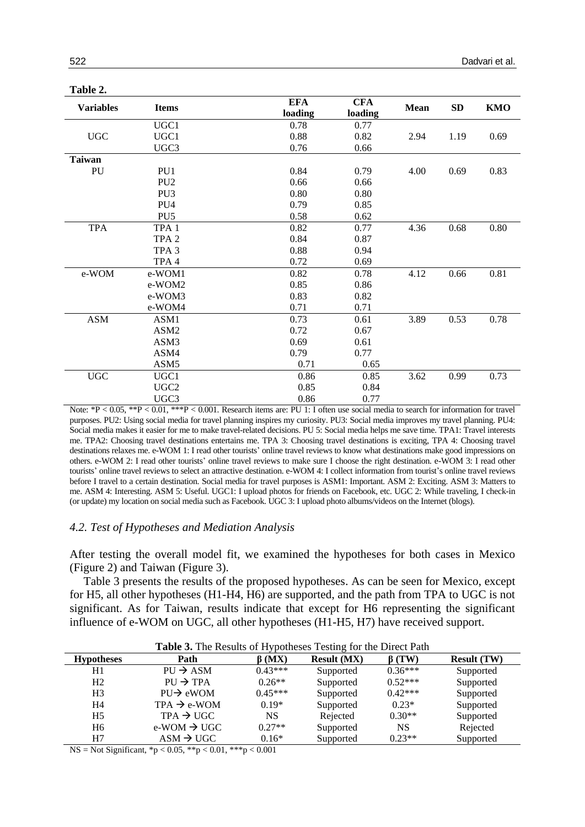| . <b></b><br><b>Variables</b> | <b>Items</b>     | <b>EFA</b><br>loading | <b>CFA</b><br>loading | <b>Mean</b> | SD   | <b>KMO</b> |
|-------------------------------|------------------|-----------------------|-----------------------|-------------|------|------------|
|                               | UGC1             | 0.78                  | 0.77                  |             |      |            |
| <b>UGC</b>                    | UGC1             | 0.88                  | 0.82                  | 2.94        | 1.19 | 0.69       |
|                               | UGC3             | 0.76                  | 0.66                  |             |      |            |
| <b>Taiwan</b>                 |                  |                       |                       |             |      |            |
| PU                            | PU1              | 0.84                  | 0.79                  | 4.00        | 0.69 | 0.83       |
|                               | PU <sub>2</sub>  | 0.66                  | 0.66                  |             |      |            |
|                               | PU <sub>3</sub>  | 0.80                  | 0.80                  |             |      |            |
|                               | PU <sub>4</sub>  | 0.79                  | 0.85                  |             |      |            |
|                               | PU <sub>5</sub>  | 0.58                  | 0.62                  |             |      |            |
| <b>TPA</b>                    | TPA <sub>1</sub> | 0.82                  | 0.77                  | 4.36        | 0.68 | 0.80       |
|                               | TPA <sub>2</sub> | 0.84                  | 0.87                  |             |      |            |
|                               | TPA <sub>3</sub> | 0.88                  | 0.94                  |             |      |            |
|                               | TPA <sub>4</sub> | 0.72                  | 0.69                  |             |      |            |
| e-WOM                         | e-WOM1           | 0.82                  | 0.78                  | 4.12        | 0.66 | 0.81       |
|                               | e-WOM2           | 0.85                  | 0.86                  |             |      |            |
|                               | e-WOM3           | 0.83                  | 0.82                  |             |      |            |
|                               | e-WOM4           | 0.71                  | 0.71                  |             |      |            |
| <b>ASM</b>                    | ASM1             | 0.73                  | 0.61                  | 3.89        | 0.53 | 0.78       |
|                               | ASM2             | 0.72                  | 0.67                  |             |      |            |
|                               | ASM3             | 0.69                  | 0.61                  |             |      |            |
|                               | ASM4             | 0.79                  | 0.77                  |             |      |            |
|                               | ASM <sub>5</sub> | 0.71                  | 0.65                  |             |      |            |
| $_{\rm UGC}$                  | UGC1             | 0.86                  | 0.85                  | 3.62        | 0.99 | 0.73       |
|                               | UGC <sub>2</sub> | 0.85                  | 0.84                  |             |      |            |
|                               | UGC3             | 0.86                  | 0.77                  |             |      |            |

**Table 2.**

Note: \*P < 0.05, \*\*P < 0.01, \*\*\*P < 0.001. Research items are: PU 1: I often use social media to search for information for travel purposes. PU2: Using social media for travel planning inspires my curiosity. PU3: Social media improves my travel planning. PU4: Social media makes it easier for me to make travel-related decisions. PU 5: Social media helps me save time. TPA1: Travel interests me. TPA2: Choosing travel destinations entertains me. TPA 3: Choosing travel destinations is exciting, TPA 4: Choosing travel destinations relaxes me. e-WOM 1: I read other tourists' online travel reviews to know what destinations make good impressions on others. e-WOM 2: I read other tourists' online travel reviews to make sure I choose the right destination. e-WOM 3: I read other tourists' online travel reviews to select an attractive destination. e-WOM 4: I collect information from tourist's online travel reviews before I travel to a certain destination. Social media for travel purposes is ASM1: Important. ASM 2: Exciting. ASM 3: Matters to me. ASM 4: Interesting. ASM 5: Useful. UGC1: I upload photos for friends on Facebook, etc. UGC 2: While traveling, I check-in (or update) my location on social media such as Facebook. UGC 3: I upload photo albums/videos on the Internet (blogs).

#### *4.2. Test of Hypotheses and Mediation Analysis*

After testing the overall model fit, we examined the hypotheses for both cases in Mexico (Figure 2) and Taiwan (Figure 3).

Table 3 presents the results of the proposed hypotheses. As can be seen for Mexico, except for H5, all other hypotheses (H1-H4, H6) are supported, and the path from TPA to UGC is not significant. As for Taiwan, results indicate that except for H6 representing the significant influence of e-WOM on UGC, all other hypotheses (H1-H5, H7) have received support.

| <b>Table 5.</b> The Results of Hypotheses Testing for the Direct Path |                         |              |                    |             |                    |  |  |  |
|-----------------------------------------------------------------------|-------------------------|--------------|--------------------|-------------|--------------------|--|--|--|
| <b>Hypotheses</b>                                                     | Path                    | $\beta$ (MX) | <b>Result (MX)</b> | $\beta(TW)$ | <b>Result (TW)</b> |  |  |  |
| H1                                                                    | $PIJ \rightarrow ASM$   | $0.43***$    | Supported          | $0.36***$   | Supported          |  |  |  |
| H <sub>2</sub>                                                        | $PU \rightarrow TPA$    | $0.26**$     | Supported          | $0.52***$   | Supported          |  |  |  |
| H <sub>3</sub>                                                        | $P U \rightarrow e WOM$ | $0.45***$    | Supported          | $0.42***$   | Supported          |  |  |  |
| H4                                                                    | $TPA \rightarrow e-WOM$ | $0.19*$      | Supported          | $0.23*$     | Supported          |  |  |  |
| H <sub>5</sub>                                                        | $TPA \rightarrow UGC$   | <b>NS</b>    | Rejected           | $0.30**$    | Supported          |  |  |  |
| H <sub>6</sub>                                                        | $e-WOM \rightarrow UGC$ | $0.27**$     | Supported          | NS          | Rejected           |  |  |  |
| H7                                                                    | $ASM \rightarrow UGC$   | $0.16*$      | Supported          | $0.23**$    | Supported          |  |  |  |

**Table 3.** The Results of Hypotheses Testing for the Direct Path

NS = Not Significant,  ${}^*p < 0.05$ ,  ${}^*p < 0.01$ ,  ${}^*{}^*p < 0.001$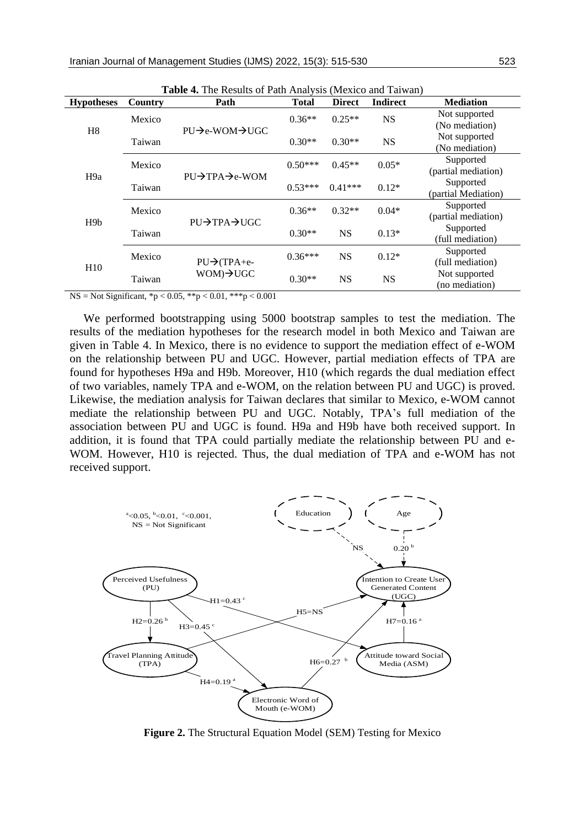| <b>Table 4.</b> The results of Fath Tinarysis (Mexico and Tarwan) |         |                                         |              |               |                 |                                  |  |
|-------------------------------------------------------------------|---------|-----------------------------------------|--------------|---------------|-----------------|----------------------------------|--|
| <b>Hypotheses</b>                                                 | Country | Path                                    | <b>Total</b> | <b>Direct</b> | <b>Indirect</b> | <b>Mediation</b>                 |  |
| H <sub>8</sub>                                                    | Mexico  |                                         | $0.36**$     | $0.25**$      | <b>NS</b>       | Not supported<br>(No mediation)  |  |
|                                                                   | Taiwan  | $PU\rightarrow$ e-WOM $\rightarrow$ UGC | $0.30**$     | $0.30**$      | <b>NS</b>       | Not supported<br>(No mediation)  |  |
| H <sub>9a</sub>                                                   | Mexico  |                                         | $0.50***$    | $0.45**$      | $0.05*$         | Supported<br>(partial mediation) |  |
|                                                                   | Taiwan  | $PIJ\rightarrow TPA \rightarrow e-WOM$  | $0.53***$    | $0.41***$     | $0.12*$         | Supported<br>(partial Mediation) |  |
| H <sub>9</sub> b                                                  | Mexico  | PU→TPA→UGC                              | $0.36**$     | $0.32**$      | $0.04*$         | Supported<br>(partial mediation) |  |
|                                                                   | Taiwan  |                                         | $0.30**$     | <b>NS</b>     | $0.13*$         | Supported<br>(full mediation)    |  |
| H10                                                               | Mexico  | $PU\rightarrow$ (TPA+e-                 | $0.36***$    | <b>NS</b>     | $0.12*$         | Supported<br>(full mediation)    |  |
|                                                                   | Taiwan  | $WOM$ ) $\rightarrow$ UGC               | $0.30**$     | <b>NS</b>     | <b>NS</b>       | Not supported<br>(no mediation)  |  |

**Table 4.** The Results of Path Analysis (Mexico and Taiwan)

NS = Not Significant,  ${}^*p$  < 0.05,  ${}^*p$  < 0.01,  ${}^*{}^*p$  < 0.001

We performed bootstrapping using 5000 bootstrap samples to test the mediation. The results of the mediation hypotheses for the research model in both Mexico and Taiwan are given in Table 4. In Mexico, there is no evidence to support the mediation effect of e-WOM on the relationship between PU and UGC. However, partial mediation effects of TPA are found for hypotheses H9a and H9b. Moreover, H10 (which regards the dual mediation effect of two variables, namely TPA and e-WOM, on the relation between PU and UGC) is proved. Likewise, the mediation analysis for Taiwan declares that similar to Mexico, e-WOM cannot mediate the relationship between PU and UGC. Notably, TPA's full mediation of the association between PU and UGC is found. H9a and H9b have both received support. In addition, it is found that TPA could partially mediate the relationship between PU and e-WOM. However, H10 is rejected. Thus, the dual mediation of TPA and e-WOM has not received support.



**Figure 2.** The Structural Equation Model (SEM) Testing for Mexico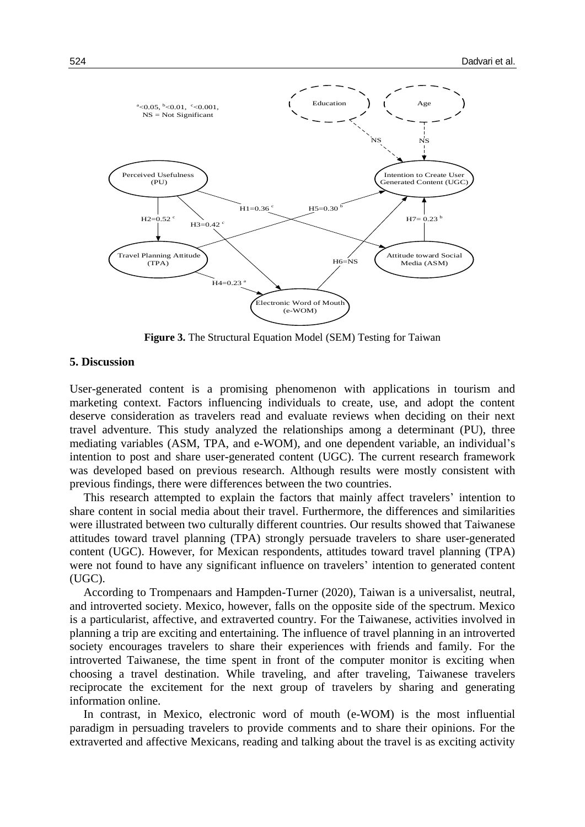

**Figure 3.** The Structural Equation Model (SEM) Testing for Taiwan

#### **5. Discussion**

User-generated content is a promising phenomenon with applications in tourism and marketing context. Factors influencing individuals to create, use, and adopt the content deserve consideration as travelers read and evaluate reviews when deciding on their next travel adventure. This study analyzed the relationships among a determinant (PU), three mediating variables (ASM, TPA, and e-WOM), and one dependent variable, an individual's intention to post and share user-generated content (UGC). The current research framework was developed based on previous research. Although results were mostly consistent with previous findings, there were differences between the two countries.

This research attempted to explain the factors that mainly affect travelers' intention to share content in social media about their travel. Furthermore, the differences and similarities were illustrated between two culturally different countries. Our results showed that Taiwanese attitudes toward travel planning (TPA) strongly persuade travelers to share user-generated content (UGC). However, for Mexican respondents, attitudes toward travel planning (TPA) were not found to have any significant influence on travelers' intention to generated content (UGC).

According to Trompenaars and Hampden-Turner (2020), Taiwan is a universalist, neutral, and introverted society. Mexico, however, falls on the opposite side of the spectrum. Mexico is a particularist, affective, and extraverted country. For the Taiwanese, activities involved in planning a trip are exciting and entertaining. The influence of travel planning in an introverted society encourages travelers to share their experiences with friends and family. For the introverted Taiwanese, the time spent in front of the computer monitor is exciting when choosing a travel destination. While traveling, and after traveling, Taiwanese travelers reciprocate the excitement for the next group of travelers by sharing and generating information online.

In contrast, in Mexico, electronic word of mouth (e-WOM) is the most influential paradigm in persuading travelers to provide comments and to share their opinions. For the extraverted and affective Mexicans, reading and talking about the travel is as exciting activity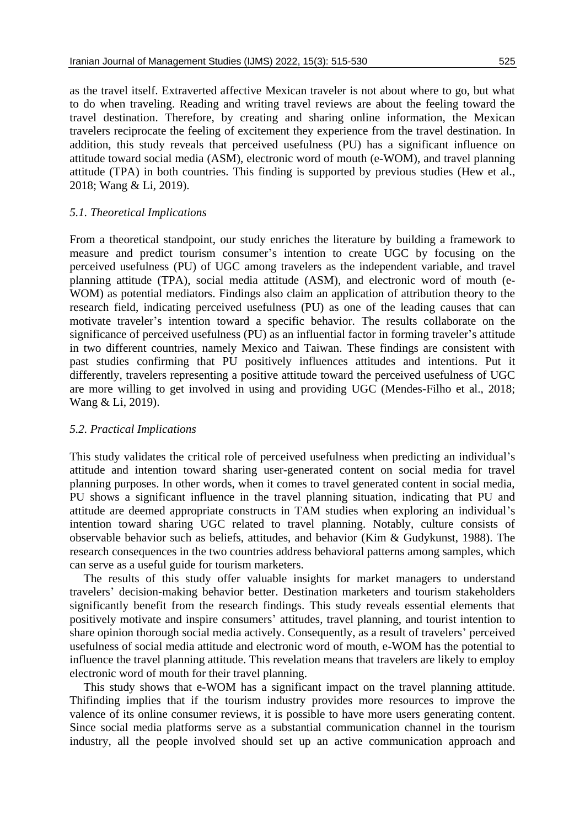as the travel itself. Extraverted affective Mexican traveler is not about where to go, but what to do when traveling. Reading and writing travel reviews are about the feeling toward the travel destination. Therefore, by creating and sharing online information, the Mexican travelers reciprocate the feeling of excitement they experience from the travel destination. In addition, this study reveals that perceived usefulness (PU) has a significant influence on attitude toward social media (ASM), electronic word of mouth (e-WOM), and travel planning attitude (TPA) in both countries. This finding is supported by previous studies (Hew et al., 2018; Wang & Li, 2019).

#### *5.1. Theoretical Implications*

From a theoretical standpoint, our study enriches the literature by building a framework to measure and predict tourism consumer's intention to create UGC by focusing on the perceived usefulness (PU) of UGC among travelers as the independent variable, and travel planning attitude (TPA), social media attitude (ASM), and electronic word of mouth (e-WOM) as potential mediators. Findings also claim an application of attribution theory to the research field, indicating perceived usefulness (PU) as one of the leading causes that can motivate traveler's intention toward a specific behavior. The results collaborate on the significance of perceived usefulness (PU) as an influential factor in forming traveler's attitude in two different countries, namely Mexico and Taiwan. These findings are consistent with past studies confirming that PU positively influences attitudes and intentions. Put it differently, travelers representing a positive attitude toward the perceived usefulness of UGC are more willing to get involved in using and providing UGC (Mendes-Filho et al., 2018; Wang & Li, 2019).

#### *5.2. Practical Implications*

This study validates the critical role of perceived usefulness when predicting an individual's attitude and intention toward sharing user-generated content on social media for travel planning purposes. In other words, when it comes to travel generated content in social media, PU shows a significant influence in the travel planning situation, indicating that PU and attitude are deemed appropriate constructs in TAM studies when exploring an individual's intention toward sharing UGC related to travel planning. Notably, culture consists of observable behavior such as beliefs, attitudes, and behavior (Kim & Gudykunst, 1988). The research consequences in the two countries address behavioral patterns among samples, which can serve as a useful guide for tourism marketers.

The results of this study offer valuable insights for market managers to understand travelers' decision-making behavior better. Destination marketers and tourism stakeholders significantly benefit from the research findings. This study reveals essential elements that positively motivate and inspire consumers' attitudes, travel planning, and tourist intention to share opinion thorough social media actively. Consequently, as a result of travelers' perceived usefulness of social media attitude and electronic word of mouth, e-WOM has the potential to influence the travel planning attitude. This revelation means that travelers are likely to employ electronic word of mouth for their travel planning.

This study shows that e-WOM has a significant impact on the travel planning attitude. Thifinding implies that if the tourism industry provides more resources to improve the valence of its online consumer reviews, it is possible to have more users generating content. Since social media platforms serve as a substantial communication channel in the tourism industry, all the people involved should set up an active communication approach and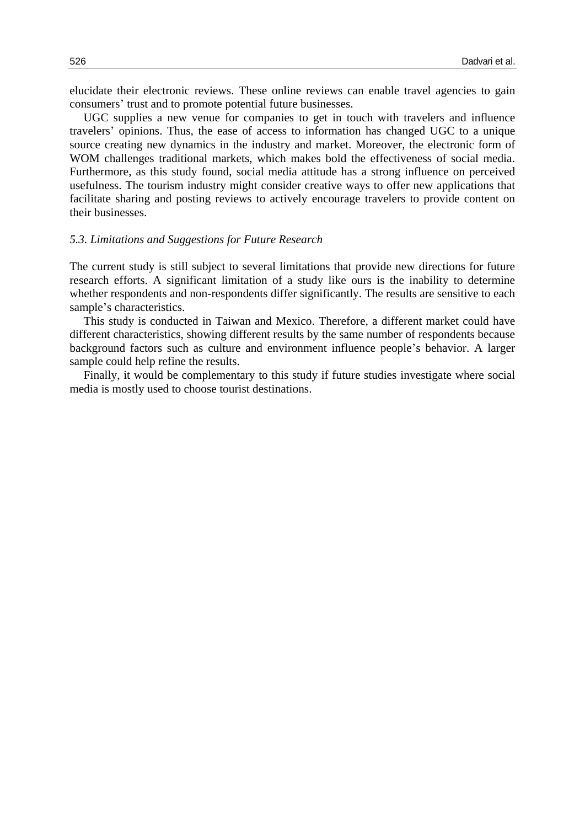elucidate their electronic reviews. These online reviews can enable travel agencies to gain consumers' trust and to promote potential future businesses.

UGC supplies a new venue for companies to get in touch with travelers and influence travelers' opinions. Thus, the ease of access to information has changed UGC to a unique source creating new dynamics in the industry and market. Moreover, the electronic form of WOM challenges traditional markets, which makes bold the effectiveness of social media. Furthermore, as this study found, social media attitude has a strong influence on perceived usefulness. The tourism industry might consider creative ways to offer new applications that facilitate sharing and posting reviews to actively encourage travelers to provide content on their businesses.

#### *5.3. Limitations and Suggestions for Future Research*

The current study is still subject to several limitations that provide new directions for future research efforts. A significant limitation of a study like ours is the inability to determine whether respondents and non-respondents differ significantly. The results are sensitive to each sample's characteristics.

This study is conducted in Taiwan and Mexico. Therefore, a different market could have different characteristics, showing different results by the same number of respondents because background factors such as culture and environment influence people's behavior. A larger sample could help refine the results.

Finally, it would be complementary to this study if future studies investigate where social media is mostly used to choose tourist destinations.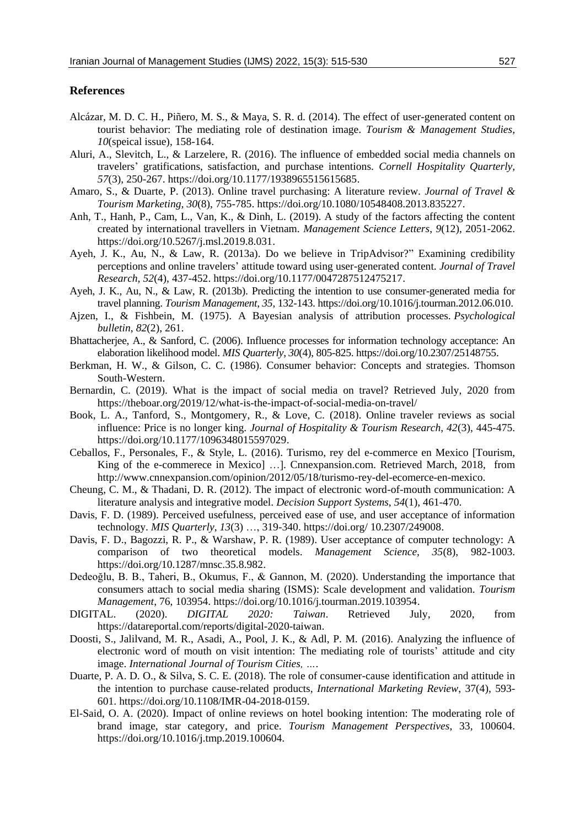#### **References**

- Alcázar, M. D. C. H., Piñero, M. S., & Maya, S. R. d. (2014). The effect of user-generated content on tourist behavior: The mediating role of destination image. *Tourism & Management Studies, 10*(speical issue), 158-164.
- Aluri, A., Slevitch, L., & Larzelere, R. (2016). The influence of embedded social media channels on travelers' gratifications, satisfaction, and purchase intentions. *Cornell Hospitality Quarterly, 57*(3), 250-267. https://doi.org/10.1177/1938965515615685.
- Amaro, S., & Duarte, P. (2013). Online travel purchasing: A literature review. *Journal of Travel & Tourism Marketing, 30*(8), 755-785. https://doi.org/10.1080/10548408.2013.835227.
- Anh, T., Hanh, P., Cam, L., Van, K., & Dinh, L. (2019). A study of the factors affecting the content created by international travellers in Vietnam. *Management Science Letters*, *9*(12), 2051-2062. https://doi.org/10.5267/j.msl.2019.8.031.
- Ayeh, J. K., Au, N., & Law, R. (2013a). Do we believe in TripAdvisor?" Examining credibility perceptions and online travelers' attitude toward using user-generated content. *Journal of Travel Research, 52*(4), 437-452. https://doi.org/10.1177/0047287512475217.
- Ayeh, J. K., Au, N., & Law, R. (2013b). Predicting the intention to use consumer-generated media for travel planning. *Tourism Management, 35*, 132-143. https://doi.org/10.1016/j.tourman.2012.06.010.
- Ajzen, I., & Fishbein, M. (1975). A Bayesian analysis of attribution processes. *Psychological bulletin*, *82*(2), 261.
- Bhattacherjee, A., & Sanford, C. (2006). Influence processes for information technology acceptance: An elaboration likelihood model. *MIS Quarterly*, *30*(4), 805-825. https://doi.org/10.2307/25148755.
- Berkman, H. W., & Gilson, C. C. (1986). Consumer behavior: Concepts and strategies. Thomson South-Western.
- Bernardin, C. (2019). What is the impact of social media on travel? Retrieved July, 2020 from https://theboar.org/2019/12/what-is-the-impact-of-social-media-on-travel/
- Book, L. A., Tanford, S., Montgomery, R., & Love, C. (2018). Online traveler reviews as social influence: Price is no longer king. *Journal of Hospitality & Tourism Research, 42*(3), 445-475. https://doi.org/10.1177/1096348015597029.
- Ceballos, F., Personales, F., & Style, L. (2016). Turismo, rey del e-commerce en Mexico [Tourism, King of the e-commerece in Mexico] …]. Cnnexpansion.com. Retrieved March, 2018, from http://www.cnnexpansion.com/opinion/2012/05/18/turismo-rey-del-ecomerce-en-mexico.
- Cheung, C. M., & Thadani, D. R. (2012). The impact of electronic word-of-mouth communication: A literature analysis and integrative model. *Decision Support Systems*, *54*(1), 461-470.
- Davis, F. D. (1989). Perceived usefulness, perceived ease of use, and user acceptance of information technology. *MIS Quarterly*, *13*(3) …, 319-340. https://doi.org/ 10.2307/249008.
- Davis, F. D., Bagozzi, R. P., & Warshaw, P. R. (1989). User acceptance of computer technology: A comparison of two theoretical models. *Management Science, 35*(8), 982-1003. https://doi.org/10.1287/mnsc.35.8.982.
- Dedeoğlu, B. B., Taheri, B., Okumus, F., & Gannon, M. (2020). Understanding the importance that consumers attach to social media sharing (ISMS): Scale development and validation. *Tourism Management*, 76, 103954. https://doi.org/10.1016/j.tourman.2019.103954.
- DIGITAL. (2020). *DIGITAL 2020: Taiwan*. Retrieved July, 2020, from https://datareportal.com/reports/digital-2020-taiwan.
- Doosti, S., Jalilvand, M. R., Asadi, A., Pool, J. K., & Adl, P. M. (2016). Analyzing the influence of electronic word of mouth on visit intention: The mediating role of tourists' attitude and city image. *International Journal of Tourism Cities, …*.
- Duarte, P. A. D. O., & Silva, S. C. E. (2018). The role of consumer-cause identification and attitude in the intention to purchase cause-related products, *International Marketing Review*, 37(4), 593- 601. https://doi.org/10.1108/IMR-04-2018-0159.
- El-Said, O. A. (2020). Impact of online reviews on hotel booking intention: The moderating role of brand image, star category, and price. *Tourism Management Perspectives*, 33, 100604. https://doi.org/10.1016/j.tmp.2019.100604.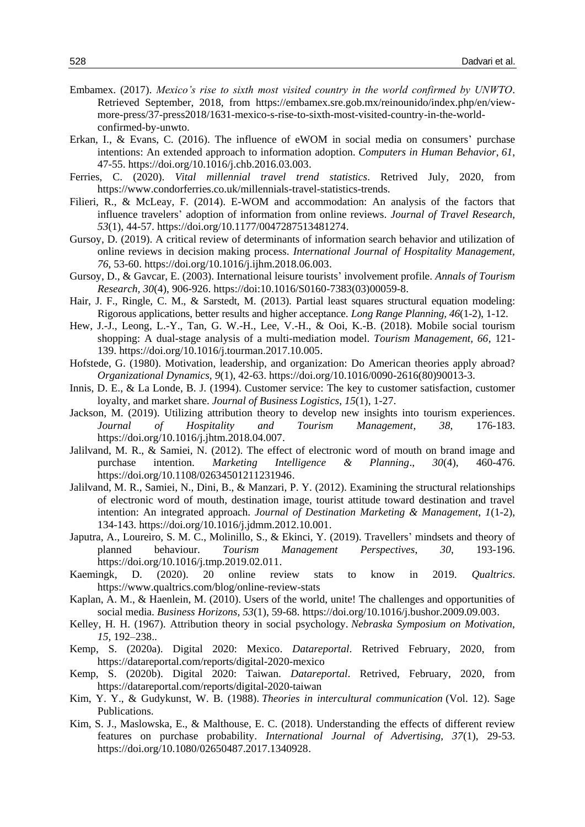- Embamex. (2017). *Mexico's rise to sixth most visited country in the world confirmed by UNWTO*. Retrieved September, 2018, from https://embamex.sre.gob.mx/reinounido/index.php/en/viewmore-press/37-press2018/1631-mexico-s-rise-to-sixth-most-visited-country-in-the-worldconfirmed-by-unwto.
- Erkan, I., & Evans, C. (2016). The influence of eWOM in social media on consumers' purchase intentions: An extended approach to information adoption. *Computers in Human Behavior*, *61*, 47-55. https://doi.org/10.1016/j.chb.2016.03.003.
- Ferries, C. (2020). *Vital millennial travel trend statistics*. Retrived July, 2020, from https://www.condorferries.co.uk/millennials-travel-statistics-trends.
- Filieri, R., & McLeay, F. (2014). E-WOM and accommodation: An analysis of the factors that influence travelers' adoption of information from online reviews. *Journal of Travel Research, 53*(1), 44-57. https://doi.org/10.1177/0047287513481274.
- Gursoy, D. (2019). A critical review of determinants of information search behavior and utilization of online reviews in decision making process. *International Journal of Hospitality Management, 76*, 53-60. https://doi.org/10.1016/j.ijhm.2018.06.003.
- Gursoy, D., & Gavcar, E. (2003). International leisure tourists' involvement profile. *Annals of Tourism Research, 30*(4), 906-926. https://doi:10.1016/S0160-7383(03)00059-8.
- Hair, J. F., Ringle, C. M., & Sarstedt, M. (2013). Partial least squares structural equation modeling: Rigorous applications, better results and higher acceptance. *Long Range Planning, 46*(1-2), 1-12.
- Hew, J.-J., Leong, L.-Y., Tan, G. W.-H., Lee, V.-H., & Ooi, K.-B. (2018). Mobile social tourism shopping: A dual-stage analysis of a multi-mediation model. *Tourism Management, 66*, 121- 139. https://doi.org/10.1016/j.tourman.2017.10.005.
- Hofstede, G. (1980). Motivation, leadership, and organization: Do American theories apply abroad? *Organizational Dynamics, 9*(1), 42-63. https://doi.org/10.1016/0090-2616(80)90013-3.
- Innis, D. E., & La Londe, B. J. (1994). Customer service: The key to customer satisfaction, customer loyalty, and market share. *Journal of Business Logistics*, *15*(1), 1-27.
- Jackson, M. (2019). Utilizing attribution theory to develop new insights into tourism experiences. *Journal of Hospitality and Tourism Management*, *38*, 176-183. https://doi.org/10.1016/j.jhtm.2018.04.007.
- Jalilvand, M. R., & Samiei, N. (2012). The effect of electronic word of mouth on brand image and purchase intention. *Marketing Intelligence & Planning*.*, 30*(4), 460-476. https://doi.org/10.1108/02634501211231946.
- Jalilvand, M. R., Samiei, N., Dini, B., & Manzari, P. Y. (2012). Examining the structural relationships of electronic word of mouth, destination image, tourist attitude toward destination and travel intention: An integrated approach. *Journal of Destination Marketing & Management, 1*(1-2), 134-143. https://doi.org/10.1016/j.jdmm.2012.10.001.
- Japutra, A., Loureiro, S. M. C., Molinillo, S., & Ekinci, Y. (2019). Travellers' mindsets and theory of planned behaviour. *Tourism Management Perspectives*, *30*, 193-196. https://doi.org/10.1016/j.tmp.2019.02.011.
- Kaemingk, D. (2020). 20 online review stats to know in 2019. *Qualtrics*. https://www.qualtrics.com/blog/online-review-stats
- Kaplan, A. M., & Haenlein, M. (2010). Users of the world, unite! The challenges and opportunities of social media. *Business Horizons, 53*(1), 59-68. https://doi.org/10.1016/j.bushor.2009.09.003.
- Kelley, H. H. (1967). Attribution theory in social psychology. *Nebraska Symposium on Motivation, 15,* 192–238..
- Kemp, S. (2020a). Digital 2020: Mexico. *Datareportal*. Retrived February, 2020, from https://datareportal.com/reports/digital-2020-mexico
- Kemp, S. (2020b). Digital 2020: Taiwan. *Datareportal*. Retrived, February, 2020, from https://datareportal.com/reports/digital-2020-taiwan
- Kim, Y. Y., & Gudykunst, W. B. (1988). *Theories in intercultural communication* (Vol. 12). Sage Publications.
- Kim, S. J., Maslowska, E., & Malthouse, E. C. (2018). Understanding the effects of different review features on purchase probability. *International Journal of Advertising, 37*(1), 29-53. https://doi.org/10.1080/02650487.2017.1340928.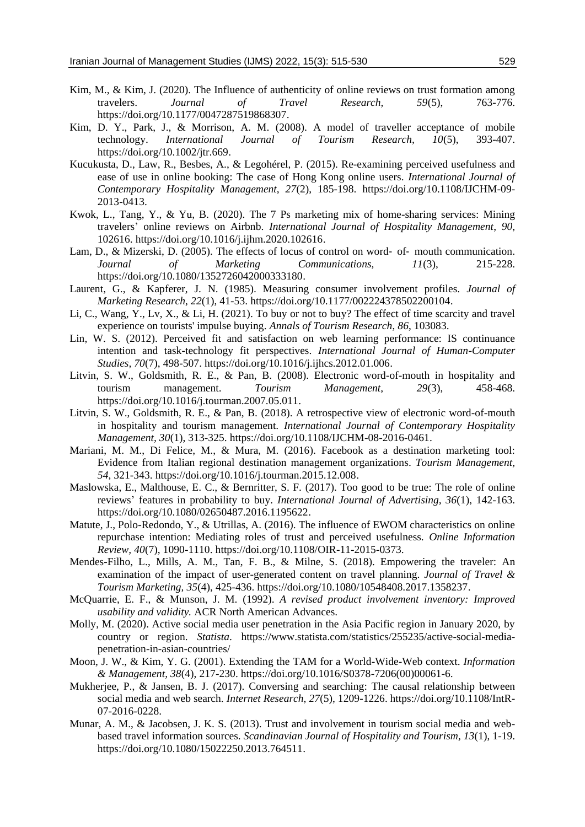- Kim, M., & Kim, J. (2020). The Influence of authenticity of online reviews on trust formation among travelers. *Journal of Travel Research, 59*(5), 763-776. https://doi.org/10.1177/0047287519868307.
- Kim, D. Y., Park, J., & Morrison, A. M. (2008). A model of traveller acceptance of mobile technology. *International Journal of Tourism Research, 10*(5), 393-407. https://doi.org/10.1002/jtr.669.
- Kucukusta, D., Law, R., Besbes, A., & Legohérel, P. (2015). Re-examining perceived usefulness and ease of use in online booking: The case of Hong Kong online users. *International Journal of Contemporary Hospitality Management, 27*(2), 185-198. https://doi.org/10.1108/IJCHM-09- 2013-0413.
- Kwok, L., Tang, Y., & Yu, B. (2020). The 7 Ps marketing mix of home-sharing services: Mining travelers' online reviews on Airbnb. *International Journal of Hospitality Management*, *90*, 102616. https://doi.org/10.1016/j.ijhm.2020.102616.
- Lam, D., & Mizerski, D. (2005). The effects of locus of control on word- of- mouth communication. *Journal of Marketing Communications, 11*(3), 215-228. https://doi.org/10.1080/1352726042000333180.
- Laurent, G., & Kapferer, J. N. (1985). Measuring consumer involvement profiles. *Journal of Marketing Research*, *22*(1), 41-53. https://doi.org/10.1177/002224378502200104.
- Li, C., Wang, Y., Lv, X., & Li, H. (2021). To buy or not to buy? The effect of time scarcity and travel experience on tourists' impulse buying. *Annals of Tourism Research*, *86*, 103083.
- Lin, W. S. (2012). Perceived fit and satisfaction on web learning performance: IS continuance intention and task-technology fit perspectives. *International Journal of Human-Computer Studies, 70*(7), 498-507. https://doi.org/10.1016/j.ijhcs.2012.01.006.
- Litvin, S. W., Goldsmith, R. E., & Pan, B. (2008). Electronic word-of-mouth in hospitality and tourism management. *Tourism Management, 29*(3), 458-468. https://doi.org/10.1016/j.tourman.2007.05.011.
- Litvin, S. W., Goldsmith, R. E., & Pan, B. (2018). A retrospective view of electronic word-of-mouth in hospitality and tourism management. *International Journal of Contemporary Hospitality Management, 30*(1), 313-325. https://doi.org/10.1108/IJCHM-08-2016-0461.
- Mariani, M. M., Di Felice, M., & Mura, M. (2016). Facebook as a destination marketing tool: Evidence from Italian regional destination management organizations. *Tourism Management, 54*, 321-343. https://doi.org/10.1016/j.tourman.2015.12.008.
- Maslowska, E., Malthouse, E. C., & Bernritter, S. F. (2017). Too good to be true: The role of online reviews' features in probability to buy. *International Journal of Advertising, 36*(1), 142-163. https://doi.org/10.1080/02650487.2016.1195622.
- Matute, J., Polo-Redondo, Y., & Utrillas, A. (2016). The influence of EWOM characteristics on online repurchase intention: Mediating roles of trust and perceived usefulness. *Online Information Review, 40*(7), 1090-1110. https://doi.org/10.1108/OIR-11-2015-0373.
- Mendes-Filho, L., Mills, A. M., Tan, F. B., & Milne, S. (2018). Empowering the traveler: An examination of the impact of user-generated content on travel planning. *Journal of Travel & Tourism Marketing, 35*(4), 425-436. https://doi.org/10.1080/10548408.2017.1358237.
- McQuarrie, E. F., & Munson, J. M. (1992). *A revised product involvement inventory: Improved usability and validity.* ACR North American Advances.
- Molly, M. (2020). Active social media user penetration in the Asia Pacific region in January 2020, by country or region. *Statista*. https://www.statista.com/statistics/255235/active-social-mediapenetration-in-asian-countries/
- Moon, J. W., & Kim, Y. G. (2001). Extending the TAM for a World-Wide-Web context. *Information & Management, 38*(4), 217-230. https://doi.org/10.1016/S0378-7206(00)00061-6.
- Mukherjee, P., & Jansen, B. J. (2017). Conversing and searching: The causal relationship between social media and web search. *Internet Research*, *27*(5), 1209-1226. https://doi.org/10.1108/IntR-07-2016-0228.
- Munar, A. M., & Jacobsen, J. K. S. (2013). Trust and involvement in tourism social media and webbased travel information sources. *Scandinavian Journal of Hospitality and Tourism, 13*(1), 1-19. https://doi.org/10.1080/15022250.2013.764511.